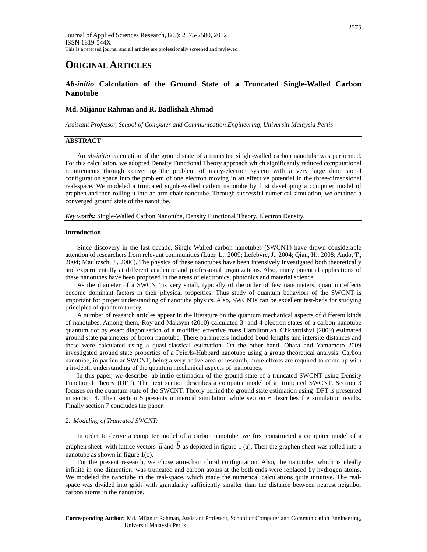# **ORIGINAL ARTICLES**

# *Ab-initio* **Calculation of the Ground State of a Truncated Single-Walled Carbon Nanotube**

# **Md. Mijanur Rahman and R. Badlishah Ahmad**

*Assistant Professor, School of Computer and Communication Engineering, Universiti Malaysia Perlis* 

## **ABSTRACT**

 An *ab-initio* calculation of the ground state of a truncated single-walled carbon nanotube was performed. For this calculation, we adopted Density Functional Theory approach which significantly reduced computational requirements through converting the problem of many-electron system with a very large dimensional configuration space into the problem of one electron moving in an effective potential in the three-dimensional real-space. We modeled a truncated signle-walled carbon nanotube by first developing a computer model of graphen and then rolling it into an arm-chair nanotube. Through successful numerical simulation, we obtained a converged ground state of the nanotube.

*Key words:* Single-Walled Carbon Nanotube, Density Functional Theory, Electron Density.

### **Introduction**

 Since discovery in the last decade, Single-Walled carbon nanotubes (SWCNT) have drawn considerable attention of researchers from relevant communities (Lüer, L., 2009; Lefebvre, J., 2004; Qian, H., 2008; Ando, T., 2004; Maultzsch, J., 2006). The physics of these nanotubes have been intensively investigated both theoretically and experimentally at different academic and professional organizations. Also, many potential applications of these nanotubes have been proposed in the areas of electronics, photonics and material science.

 As the diameter of a SWCNT is very small, typically of the order of few nanometers, quantum effects become dominant factors in their physical properties. Thus study of quantum behaviors of the SWCNT is important for proper understanding of nanotube physics. Also, SWCNTs can be excellent test-beds for studying principles of quantum theory.

 A number of research articles appear in the literature on the quantum mechanical aspects of different kinds of nanotubes. Among them, Roy and Maksym (2010) calculated 3- and 4-electron states of a carbon nanotube quantum dot by exact diagonisation of a modified effective mass Hamiltonian. Chkhartishvi (2009) estimated ground state parameters of boron nanotube. There parameters included bond lengths and intersite distances and these were calculated using a quasi-classical estimation. On the other hand, Ohara and Yamamoto 2009 investigated ground state properties of a Peierls-Hubbard nanotube using a group theoretical analysis. Carbon nanotube, in particular SWCNT, being a very active area of research, more efforts are required to come up with a in-depth understanding of the quantum mechanical aspects of nanotubes.

 In this paper, we describe ab-initio estimation of the ground state of a truncated SWCNT using Density Functional Theory (DFT). The next section describes a computer model of a truncated SWCNT. Section 3 focuses on the quantum state of the SWCNT. Theory behind the ground state estimation using DFT is presented in section 4. Then section 5 presents numerical simulation while section 6 describes the simulation results. Finally section 7 concludes the paper.

#### *2. Modeling of Truncated SWCNT:*

 In order to derive a computer model of a carbon nanotube, we first constructed a computer model of a a graphen sheet with lattice vectors  $\vec{a}$  and  $\vec{b}$  as depicted in figure 1 (a). Then the graphen sheet was rolled into a nanotube as shown in figure 1(b).

 For the present research, we chose arm-chair chiral configuration. Also, the nanotube, which is ideally infinite in one dimention, was truncated and carbon atoms at the both ends were replaced by hydrogen atoms. We modeled the nanotube in the real-space, which made the numerical calculations quite intuitive. The realspace was divided into grids with granularity sufficiently smaller than the distance between nearest neighbor carbon atoms in the nanotube.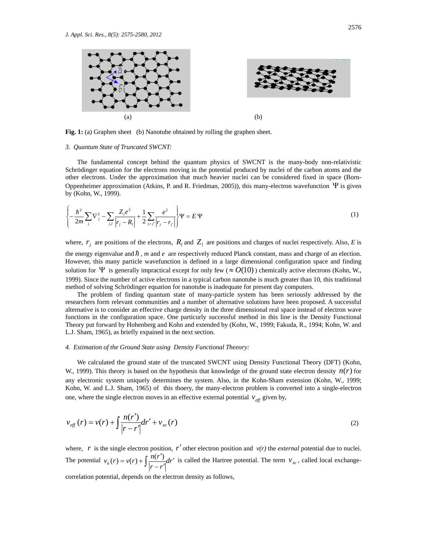

**Fig. 1:** (a) Graphen sheet (b) Nanotube obtained by rolling the graphen sheet.

#### *3. Quantum State of Truncated SWCNT:*

 The fundamental concept behind the quantum physics of SWCNT is the many-body non-relativistic Schrödinger equation for the electrons moving in the potential produced by nuclei of the carbon atoms and the other electrons. Under the approximation that much heavier nuclei can be considered fixed in space (Born-Oppenheimer approximation (Atkins, P. and R. Friedman, 2005)), this many-electron wavefunction  $\Psi$  is given by (Kohn, W., 1999).

$$
\left\{-\frac{\hbar^2}{2m}\sum_{j} \nabla_j^2 - \sum_{j,l} \frac{Z_l e^2}{|r_j - R_l|} + \frac{1}{2} \sum_{j=j'} \frac{e^2}{|r_j - r_{j'}|}\right\} \Psi = E \Psi
$$
\n(1)

where,  $r_i$  are positions of the electrons,  $R_i$  and  $Z_i$  are positions and charges of nuclei respectively. Also, *E* is the energy eigenvalue and  $\hbar$ , *m* and  $e$  are respectively reduced Planck constant, mass and charge of an election. However, this many particle wavefunction is defined in a large dimensional configuration space and finding solution for  $\Psi$  is generally impractical except for only few ( $\approx O(10)$ ) chemically active electrons (Kohn, W., 1999). Since the number of active electrons in a typical carbon nanotube is much greater than 10, this traditional method of solving Schrödinger equation for nanotube is inadequate for present day computers.

 The problem of finding quantum state of many-particle system has been seriously addressed by the researchers form relevant communities and a number of alternative solutions have been proposed. A successful alternative is to consider an effective charge density in the three dimensional real space instead of electron wave functions in the configuration space. One particurly successful method in this line is the Density Functional Theory put forward by Hohenberg and Kohn and extended by (Kohn, W., 1999; Fakuda, R., 1994; Kohn, W. and L.J. Sham, 1965), as briefly expained in the next section.

# *4. Estimation of the Ground State using Density Functional Theeory:*

 We calculated the ground state of the truncated SWCNT using Density Functional Theory (DFT) (Kohn, W., 1999). This theory is based on the hypothesis that knowledge of the ground state electron density  $n(r)$  for any electronic system uniquely determines the system. Also, in the Kohn-Sham extension (Kohn, W., 1999; Kohn, W. and L.J. Sham, 1965) of this thoery, the many-electron problem is converted into a single-electron one, where the single electron moves in an effective external potential  $v_{\text{eff}}$  given by,

$$
v_{\text{eff}}(r) = v(r) + \int \frac{n(r')}{|r - r'|} dr' + v_{\text{xc}}(r)
$$
 (2)

where,  $r$  is the single electron position,  $r'$  other electron position and  $v(r)$  the *external* potential due to nuclei. The potential  $v_h(r) = v(r) + \frac{h(r)}{r} dr$ *r r*  $v_h(r) = v(r) + \int \frac{n(r')}{|r-r'|} dr'$  is called the Hartree potential. The term  $v_{xc}$ , called local exchangecorrelation potential, depends on the electron density as follows,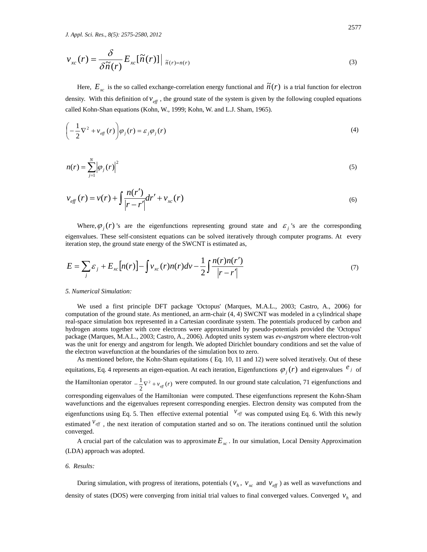$$
\nu_{xc}(r) = \frac{\delta}{\delta \tilde{n}(r)} E_{xc}[\tilde{n}(r)] \Big|_{\tilde{n}(r) = n(r)}
$$
\n(3)

Here,  $E_{xc}$  is the so called exchange-correlation energy functional and  $\tilde{n}(r)$  is a trial function for electron density. With this definition of  $v_{\text{eff}}$ , the ground state of the system is given by the following coupled equations called Kohn-Shan equations (Kohn, W., 1999; Kohn, W. and L.J. Sham, 1965).

$$
\left(-\frac{1}{2}\nabla^2 + v_{\text{eff}}(r)\right)\varphi_j(r) = \varepsilon_j \varphi_j(r) \tag{4}
$$

$$
n(r) = \sum_{j=1}^{N} \left| \varphi_j(r) \right|^2 \tag{5}
$$

$$
v_{eff}(r) = v(r) + \int \frac{n(r')}{|r - r'|} dr' + v_{xc}(r)
$$
\n(6)

Where,  $\varphi_i(r)$  's are the eigenfunctions representing ground state and  $\varepsilon_i$  's are the corresponding eigenvalues. These self-consistent equations can be solved iteratively through computer programs. At every iteration step, the ground state energy of the SWCNT is estimated as,

$$
E = \sum_{j} \varepsilon_{j} + E_{xc}[n(r)] - \int v_{xc}(r)n(r)dv - \frac{1}{2}\int \frac{n(r)n(r')}{|r - r'|}\tag{7}
$$

#### *5. Numerical Simulation:*

 We used a first principle DFT package 'Octopus' (Marques, M.A.L., 2003; Castro, A., 2006) for computation of the ground state. As mentioned, an arm-chair (4, 4) SWCNT was modeled in a cylindrical shape real-space simulation box represented in a Cartesian coordinate system. The potentials produced by carbon and hydrogen atoms together with core electrons were approximated by pseudo-potentials provided the 'Octopus' package (Marques, M.A.L., 2003; Castro, A., 2006). Adopted units system was *ev-angstrom* where electron-volt was the unit for energy and angstrom for length. We adopted Dirichlet boundary conditions and set the value of the electron wavefunction at the boundaries of the simulation box to zero.

 As mentioned before, the Kohn-Sham equitations ( Eq. 10, 11 and 12) were solved iteratively. Out of these equitations, Eq. 4 represents an eigen-equation. At each iteration, Eigenfunctions  $\varphi_j(r)$  and eigenvalues  $e_j$  of the Hamiltonian operator  $-\frac{1}{2}\nabla^2 + v_{\text{eff}}(r)$  were computed. In our ground state calculation, 71 eigenfunctions and corresponding eigenvalues of the Hamiltonian were computed. These eigenfunctions represent the Kohn-Sham wavefunctions and the eigenvalues represent corresponding energies. Electron density was computed from the eigenfunctions using Eq. 5. Then effective external potential  $v_{\text{eff}}$  was computed using Eq. 6. With this newly estimated  $v_{\text{eff}}$ , the next iteration of computation started and so on. The iterations continued until the solution converged.

A crucial part of the calculation was to approximate  $E_{xc}$ . In our simulation, Local Density Approximation (LDA) approach was adopted.

#### *6. Results:*

During simulation, with progress of iterations, potentials ( $v_h$ ,  $v_{xc}$  and  $v_{eff}$ ) as well as wavefunctions and density of states (DOS) were converging from initial trial values to final converged values. Converged  $v_h$  and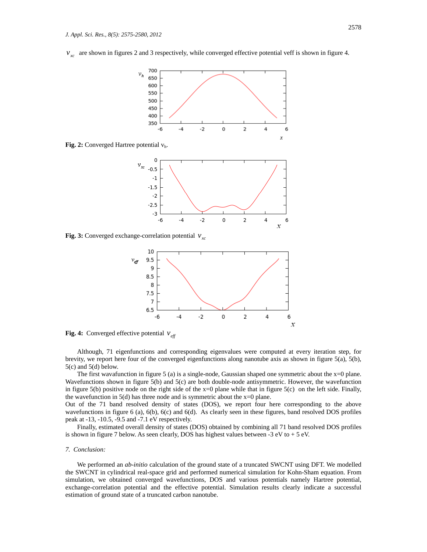$v_{rc}$  are shown in figures 2 and 3 respectively, while converged effective potential veff is shown in figure 4.



Fig. 2: Converged Hartree potential  $v<sub>h</sub>$ .



**Fig. 3:** Converged exchange-correlation potential  $v_x$ 





 Although, 71 eigenfunctions and corresponding eigenvalues were computed at every iteration step, for brevity, we report here four of the converged eigenfunctions along nanotube axis as shown in figure 5(a), 5(b),  $5(c)$  and  $5(d)$  below.

The first wavafunction in figure 5 (a) is a single-node, Gaussian shaped one symmetric about the  $x=0$  plane. Wavefunctions shown in figure 5(b) and 5(c) are both double-node antisymmetric. However, the wavefunction in figure 5(b) positive node on the right side of the  $x=0$  plane while that in figure 5(c) on the left side. Finally, the wavefunction in 5(d) has three node and is symmetric about the  $x=0$  plane.

Out of the 71 band resolved density of states (DOS), we report four here corresponding to the above wavefunctions in figure 6 (a), 6(b), 6(c) and 6(d). As clearly seen in these figures, band resolved DOS profiles peak at -13, -10.5, -9.5 and -7.1 eV respectively.

 Finally, estimated overall density of states (DOS) obtained by combining all 71 band resolved DOS profiles is shown in figure 7 below. As seen clearly, DOS has highest values between  $-3$  eV to  $+5$  eV.

# *7. Conclusion:*

 We performed an *ab-initio* calculation of the ground state of a truncated SWCNT using DFT. We modelled the SWCNT in cylindrical real-space grid and performed numerical simulation for Kohn-Sham equation. From simulation, we obtained converged wavefunctions, DOS and various potentials namely Hartree potential, exchange-correlation potential and the effective potential. Simulation results clearly indicate a successful estimation of ground state of a truncated carbon nanotube.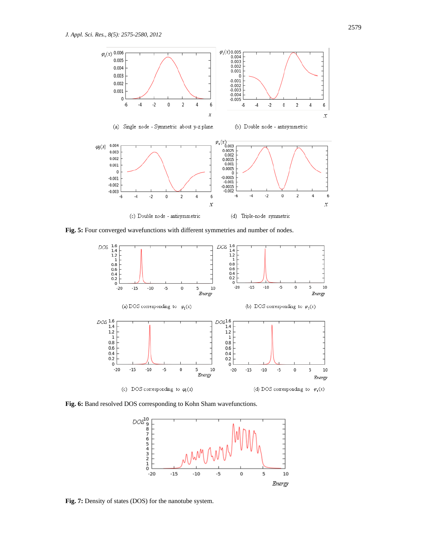

**Fig. 5:** Four converged wavefunctions with different symmetries and number of nodes.



**Fig. 6:** Band resolved DOS corresponding to Kohn Sham wavefunctions.



**Fig. 7:** Density of states (DOS) for the nanotube system.